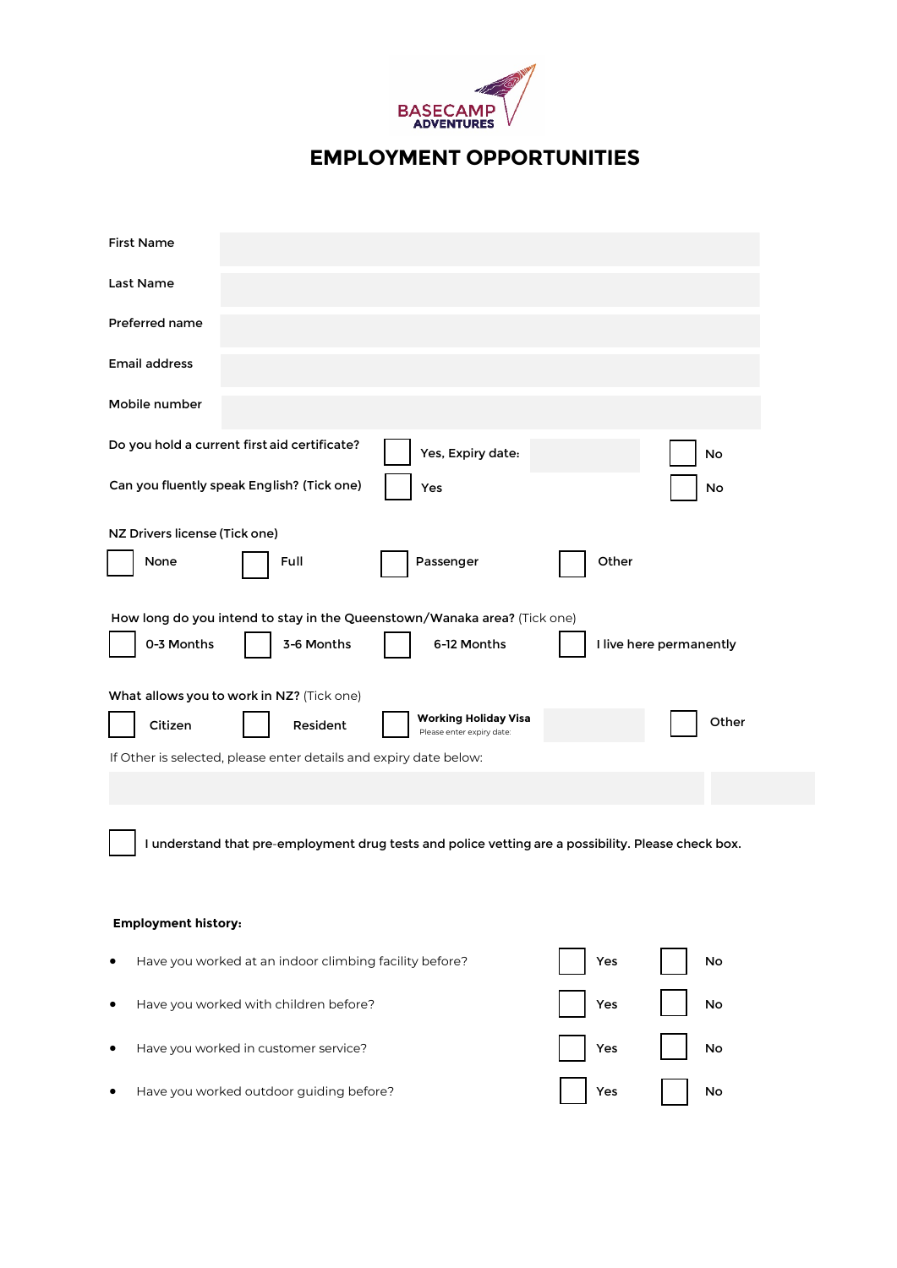

**EMPLOYMENT OPPORTUNITIES**

| <b>First Name</b>                                                                                   |                                            |                                                   |       |                         |
|-----------------------------------------------------------------------------------------------------|--------------------------------------------|---------------------------------------------------|-------|-------------------------|
| Last Name                                                                                           |                                            |                                                   |       |                         |
| Preferred name                                                                                      |                                            |                                                   |       |                         |
| Email address                                                                                       |                                            |                                                   |       |                         |
| Mobile number                                                                                       |                                            |                                                   |       |                         |
| Do you hold a current first aid certificate?                                                        |                                            | Yes, Expiry date:                                 |       | No                      |
|                                                                                                     | Can you fluently speak English? (Tick one) | Yes                                               |       | No                      |
| NZ Drivers license (Tick one)                                                                       |                                            |                                                   |       |                         |
| None                                                                                                | Full                                       | Passenger                                         | Other |                         |
| How long do you intend to stay in the Queenstown/Wanaka area? (Tick one)                            |                                            |                                                   |       |                         |
| 0-3 Months                                                                                          | 3-6 Months                                 | 6-12 Months                                       |       | I live here permanently |
| What allows you to work in NZ? (Tick one)                                                           |                                            |                                                   |       |                         |
| Citizen                                                                                             | Resident                                   | Working Holiday Visa<br>Please enter expiry date: |       | Other                   |
| If Other is selected, please enter details and expiry date below:                                   |                                            |                                                   |       |                         |
|                                                                                                     |                                            |                                                   |       |                         |
| I understand that pre-employment drug tests and police vetting are a possibility. Please check box. |                                            |                                                   |       |                         |
| <b>Employment history:</b>                                                                          |                                            |                                                   |       |                         |
| Have you worked at an indoor climbing facility before?<br>٠                                         |                                            |                                                   | Yes   | No                      |
| Have you worked with children before?<br>٠                                                          |                                            |                                                   | Yes   | No                      |
| Have you worked in customer service?<br>٠                                                           |                                            |                                                   | Yes   | No                      |
|                                                                                                     | Have you worked outdoor guiding before?    |                                                   | Yes   | No                      |